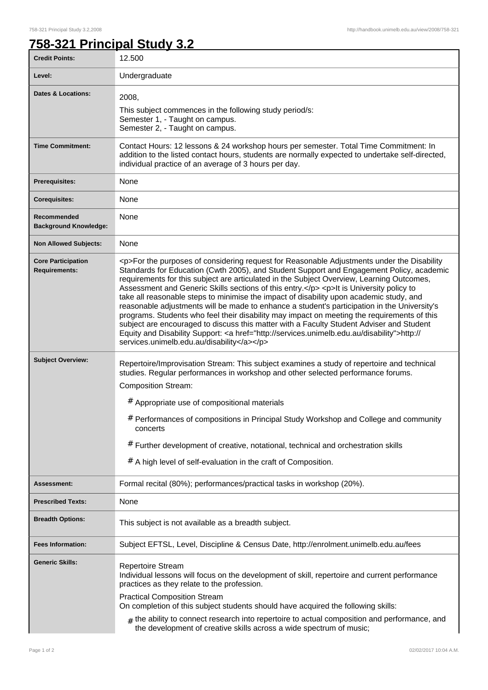## **758-321 Principal Study 3.2**

| <b>Credit Points:</b>                             | 12.500                                                                                                                                                                                                                                                                                                                                                                                                                                                                                                                                                                                                                                                                                                                                                                                                                                                                                                                       |
|---------------------------------------------------|------------------------------------------------------------------------------------------------------------------------------------------------------------------------------------------------------------------------------------------------------------------------------------------------------------------------------------------------------------------------------------------------------------------------------------------------------------------------------------------------------------------------------------------------------------------------------------------------------------------------------------------------------------------------------------------------------------------------------------------------------------------------------------------------------------------------------------------------------------------------------------------------------------------------------|
| Level:                                            | Undergraduate                                                                                                                                                                                                                                                                                                                                                                                                                                                                                                                                                                                                                                                                                                                                                                                                                                                                                                                |
| <b>Dates &amp; Locations:</b>                     | 2008,<br>This subject commences in the following study period/s:<br>Semester 1, - Taught on campus.<br>Semester 2, - Taught on campus.                                                                                                                                                                                                                                                                                                                                                                                                                                                                                                                                                                                                                                                                                                                                                                                       |
| <b>Time Commitment:</b>                           | Contact Hours: 12 lessons & 24 workshop hours per semester. Total Time Commitment: In<br>addition to the listed contact hours, students are normally expected to undertake self-directed,<br>individual practice of an average of 3 hours per day.                                                                                                                                                                                                                                                                                                                                                                                                                                                                                                                                                                                                                                                                           |
| <b>Prerequisites:</b>                             | None                                                                                                                                                                                                                                                                                                                                                                                                                                                                                                                                                                                                                                                                                                                                                                                                                                                                                                                         |
| <b>Corequisites:</b>                              | None                                                                                                                                                                                                                                                                                                                                                                                                                                                                                                                                                                                                                                                                                                                                                                                                                                                                                                                         |
| Recommended<br><b>Background Knowledge:</b>       | None                                                                                                                                                                                                                                                                                                                                                                                                                                                                                                                                                                                                                                                                                                                                                                                                                                                                                                                         |
| <b>Non Allowed Subjects:</b>                      | None                                                                                                                                                                                                                                                                                                                                                                                                                                                                                                                                                                                                                                                                                                                                                                                                                                                                                                                         |
| <b>Core Participation</b><br><b>Requirements:</b> | <p>For the purposes of considering request for Reasonable Adjustments under the Disability<br/>Standards for Education (Cwth 2005), and Student Support and Engagement Policy, academic<br/>requirements for this subject are articulated in the Subject Overview, Learning Outcomes,<br/>Assessment and Generic Skills sections of this entry.</p> <p>lt is University policy to<br/>take all reasonable steps to minimise the impact of disability upon academic study, and<br/>reasonable adjustments will be made to enhance a student's participation in the University's<br/>programs. Students who feel their disability may impact on meeting the requirements of this<br/>subject are encouraged to discuss this matter with a Faculty Student Adviser and Student<br/>Equity and Disability Support: &lt; a href="http://services.unimelb.edu.au/disability"&gt;http://<br/>services.unimelb.edu.au/disability</p> |
| <b>Subject Overview:</b>                          | Repertoire/Improvisation Stream: This subject examines a study of repertoire and technical<br>studies. Regular performances in workshop and other selected performance forums.<br><b>Composition Stream:</b>                                                                                                                                                                                                                                                                                                                                                                                                                                                                                                                                                                                                                                                                                                                 |
|                                                   | # Appropriate use of compositional materials                                                                                                                                                                                                                                                                                                                                                                                                                                                                                                                                                                                                                                                                                                                                                                                                                                                                                 |
|                                                   | # Performances of compositions in Principal Study Workshop and College and community<br>concerts<br># Further development of creative, notational, technical and orchestration skills<br>$#$ A high level of self-evaluation in the craft of Composition.                                                                                                                                                                                                                                                                                                                                                                                                                                                                                                                                                                                                                                                                    |
|                                                   |                                                                                                                                                                                                                                                                                                                                                                                                                                                                                                                                                                                                                                                                                                                                                                                                                                                                                                                              |
| Assessment:                                       | Formal recital (80%); performances/practical tasks in workshop (20%).                                                                                                                                                                                                                                                                                                                                                                                                                                                                                                                                                                                                                                                                                                                                                                                                                                                        |
| <b>Prescribed Texts:</b>                          | None                                                                                                                                                                                                                                                                                                                                                                                                                                                                                                                                                                                                                                                                                                                                                                                                                                                                                                                         |
| <b>Breadth Options:</b>                           | This subject is not available as a breadth subject.                                                                                                                                                                                                                                                                                                                                                                                                                                                                                                                                                                                                                                                                                                                                                                                                                                                                          |
| <b>Fees Information:</b>                          | Subject EFTSL, Level, Discipline & Census Date, http://enrolment.unimelb.edu.au/fees                                                                                                                                                                                                                                                                                                                                                                                                                                                                                                                                                                                                                                                                                                                                                                                                                                         |
| <b>Generic Skills:</b>                            | <b>Repertoire Stream</b><br>Individual lessons will focus on the development of skill, repertoire and current performance<br>practices as they relate to the profession.                                                                                                                                                                                                                                                                                                                                                                                                                                                                                                                                                                                                                                                                                                                                                     |
|                                                   | <b>Practical Composition Stream</b><br>On completion of this subject students should have acquired the following skills:                                                                                                                                                                                                                                                                                                                                                                                                                                                                                                                                                                                                                                                                                                                                                                                                     |
|                                                   | $#$ the ability to connect research into repertoire to actual composition and performance, and<br>the development of creative skills across a wide spectrum of music;                                                                                                                                                                                                                                                                                                                                                                                                                                                                                                                                                                                                                                                                                                                                                        |